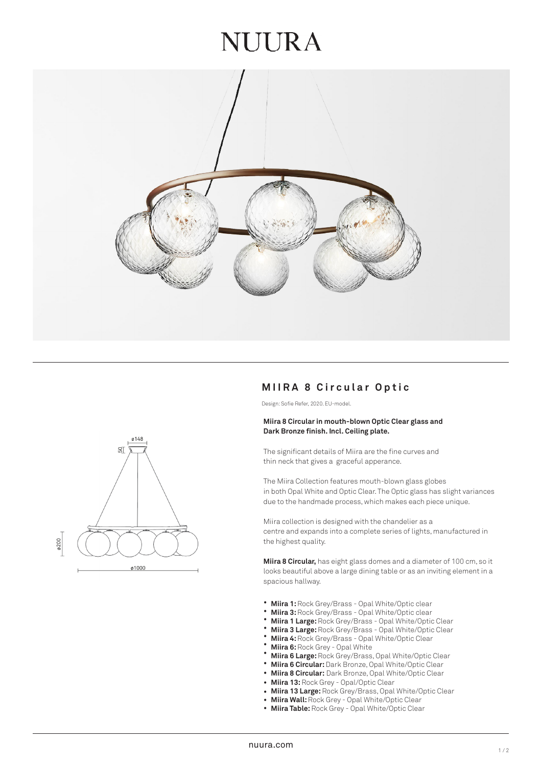## **JUURA**



### **M I IRA 8 Circular Op tic**

Design: Sofie Refer, 2020. EU-model.

#### **Miira 8 Circular in mouth-blown Optic Clear glass and Dark Bronze finish. Incl. Ceiling plate.**

The significant details of Miira are the fine curves and thin neck that gives a graceful apperance.

The Miira Collection features mouth-blown glass globes in both Opal White and Optic Clear. The Optic glass has slight variances due to the handmade process, which makes each piece unique.

Miira collection is designed with the chandelier as a centre and expands into a complete series of lights, manufactured in the highest quality.

**Miira 8 Circular,** has eight glass domes and a diameter of 100 cm, so it looks beautiful above a large dining table or as an inviting element in a spacious hallway.

- **Miira 1:** Rock Grey/Brass Opal White/Optic clear •
- **Miira 3:** Rock Grey/Brass Opal White/Optic clear •
- **Miira 1 Large:** Rock Grey/Brass Opal White/Optic Clear •
- **Miira 3 Large:** Rock Grey/Brass Opal White/Optic Clear • •
- **Miira 4:** Rock Grey/Brass Opal White/Optic Clear
- **Miira 6:** Rock Grey Opal White •
- **Miira 6 Large:** Rock Grey/Brass, Opal White/Optic Clear •
- **Miira 6 Circular:** Dark Bronze, Opal White/Optic Clear •
- **Miira 8 Circular:** Dark Bronze, Opal White/Optic Clear •
- **Miira 13:** Rock Grey Opal/Optic Clear
- **Miira 13 Large:** Rock Grey/Brass, Opal White/Optic Clear •
- **Miira Wall:** Rock Grey Opal White/Optic Clear •
- **Miira Table:** Rock Grey Opal White/Optic Clear •